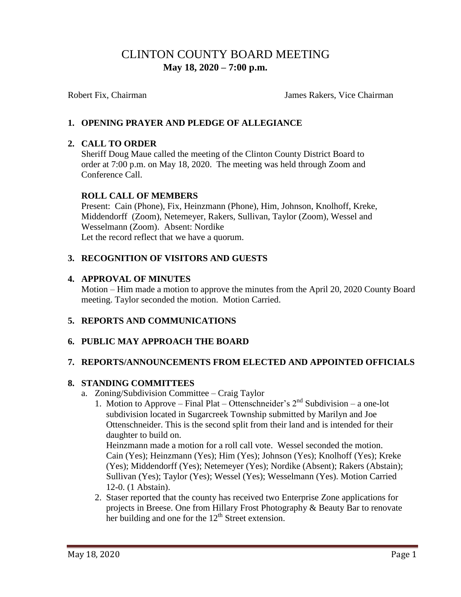# CLINTON COUNTY BOARD MEETING  **May 18, 2020 – 7:00 p.m.**

Robert Fix, Chairman James Rakers, Vice Chairman

## **1. OPENING PRAYER AND PLEDGE OF ALLEGIANCE**

#### **2. CALL TO ORDER**

Sheriff Doug Maue called the meeting of the Clinton County District Board to order at 7:00 p.m. on May 18, 2020. The meeting was held through Zoom and Conference Call.

#### **ROLL CALL OF MEMBERS**

Present: Cain (Phone), Fix, Heinzmann (Phone), Him, Johnson, Knolhoff, Kreke, Middendorff (Zoom), Netemeyer, Rakers, Sullivan, Taylor (Zoom), Wessel and Wesselmann (Zoom). Absent: Nordike Let the record reflect that we have a quorum.

## **3. RECOGNITION OF VISITORS AND GUESTS**

#### **4. APPROVAL OF MINUTES**

Motion – Him made a motion to approve the minutes from the April 20, 2020 County Board meeting. Taylor seconded the motion. Motion Carried.

# **5. REPORTS AND COMMUNICATIONS**

#### **6. PUBLIC MAY APPROACH THE BOARD**

#### **7. REPORTS/ANNOUNCEMENTS FROM ELECTED AND APPOINTED OFFICIALS**

#### **8. STANDING COMMITTEES**

- a. Zoning/Subdivision Committee Craig Taylor
	- 1. Motion to Approve Final Plat Ottenschneider's  $2<sup>nd</sup>$  Subdivision a one-lot subdivision located in Sugarcreek Township submitted by Marilyn and Joe Ottenschneider. This is the second split from their land and is intended for their daughter to build on.

Heinzmann made a motion for a roll call vote. Wessel seconded the motion. Cain (Yes); Heinzmann (Yes); Him (Yes); Johnson (Yes); Knolhoff (Yes); Kreke (Yes); Middendorff (Yes); Netemeyer (Yes); Nordike (Absent); Rakers (Abstain); Sullivan (Yes); Taylor (Yes); Wessel (Yes); Wesselmann (Yes). Motion Carried 12-0. (1 Abstain).

2. Staser reported that the county has received two Enterprise Zone applications for projects in Breese. One from Hillary Frost Photography & Beauty Bar to renovate her building and one for the  $12<sup>th</sup>$  Street extension.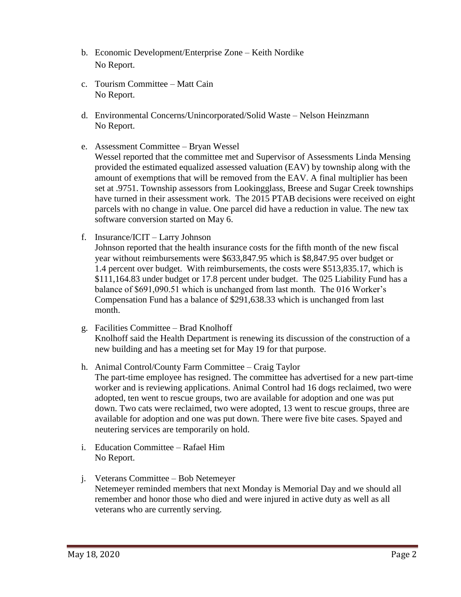- b. Economic Development/Enterprise Zone Keith Nordike No Report.
- c. Tourism Committee Matt Cain No Report.
- d. Environmental Concerns/Unincorporated/Solid Waste Nelson Heinzmann No Report.
- e. Assessment Committee Bryan Wessel

 Wessel reported that the committee met and Supervisor of Assessments Linda Mensing provided the estimated equalized assessed valuation (EAV) by township along with the amount of exemptions that will be removed from the EAV. A final multiplier has been set at .9751. Township assessors from Lookingglass, Breese and Sugar Creek townships have turned in their assessment work. The 2015 PTAB decisions were received on eight parcels with no change in value. One parcel did have a reduction in value. The new tax software conversion started on May 6.

f. Insurance/ICIT – Larry Johnson

Johnson reported that the health insurance costs for the fifth month of the new fiscal year without reimbursements were \$633,847.95 which is \$8,847.95 over budget or 1.4 percent over budget. With reimbursements, the costs were \$513,835.17, which is \$111,164.83 under budget or 17.8 percent under budget. The 025 Liability Fund has a balance of \$691,090.51 which is unchanged from last month. The 016 Worker's Compensation Fund has a balance of \$291,638.33 which is unchanged from last month.

- g. Facilities Committee Brad Knolhoff Knolhoff said the Health Department is renewing its discussion of the construction of a new building and has a meeting set for May 19 for that purpose.
- h. Animal Control/County Farm Committee Craig Taylor

The part-time employee has resigned. The committee has advertised for a new part-time worker and is reviewing applications. Animal Control had 16 dogs reclaimed, two were adopted, ten went to rescue groups, two are available for adoption and one was put down. Two cats were reclaimed, two were adopted, 13 went to rescue groups, three are available for adoption and one was put down. There were five bite cases. Spayed and neutering services are temporarily on hold.

- i. Education Committee Rafael Him No Report.
- j. Veterans Committee Bob Netemeyer Netemeyer reminded members that next Monday is Memorial Day and we should all remember and honor those who died and were injured in active duty as well as all veterans who are currently serving.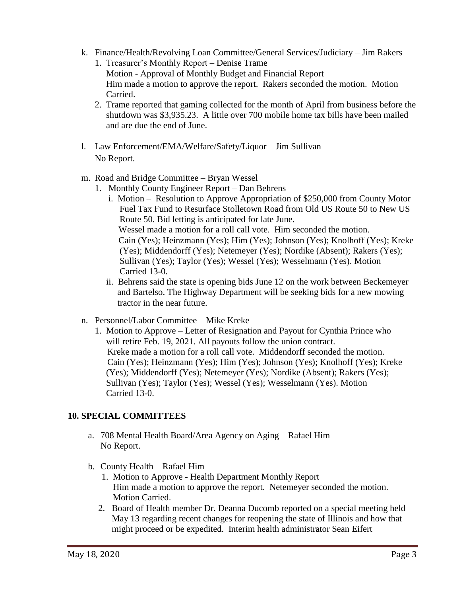- k. Finance/Health/Revolving Loan Committee/General Services/Judiciary Jim Rakers
	- 1. Treasurer's Monthly Report Denise Trame Motion - Approval of Monthly Budget and Financial Report Him made a motion to approve the report. Rakers seconded the motion. Motion Carried.
	- 2. Trame reported that gaming collected for the month of April from business before the shutdown was \$3,935.23. A little over 700 mobile home tax bills have been mailed and are due the end of June.
- l. Law Enforcement/EMA/Welfare/Safety/Liquor Jim Sullivan No Report.
- m. Road and Bridge Committee Bryan Wessel
	- 1. Monthly County Engineer Report Dan Behrens
		- i. Motion Resolution to Approve Appropriation of \$250,000 from County Motor Fuel Tax Fund to Resurface Stolletown Road from Old US Route 50 to New US Route 50. Bid letting is anticipated for late June. Wessel made a motion for a roll call vote. Him seconded the motion. Cain (Yes); Heinzmann (Yes); Him (Yes); Johnson (Yes); Knolhoff (Yes); Kreke (Yes); Middendorff (Yes); Netemeyer (Yes); Nordike (Absent); Rakers (Yes); Sullivan (Yes); Taylor (Yes); Wessel (Yes); Wesselmann (Yes). Motion Carried 13-0.
		- ii. Behrens said the state is opening bids June 12 on the work between Beckemeyer and Bartelso. The Highway Department will be seeking bids for a new mowing tractor in the near future.
- n. Personnel/Labor Committee Mike Kreke
	- 1. Motion to Approve Letter of Resignation and Payout for Cynthia Prince who will retire Feb. 19, 2021. All payouts follow the union contract. Kreke made a motion for a roll call vote. Middendorff seconded the motion. Cain (Yes); Heinzmann (Yes); Him (Yes); Johnson (Yes); Knolhoff (Yes); Kreke (Yes); Middendorff (Yes); Netemeyer (Yes); Nordike (Absent); Rakers (Yes); Sullivan (Yes); Taylor (Yes); Wessel (Yes); Wesselmann (Yes). Motion Carried 13-0.

#### **10. SPECIAL COMMITTEES**

- a. 708 Mental Health Board/Area Agency on Aging Rafael Him No Report.
- b. County Health Rafael Him
	- 1. Motion to Approve Health Department Monthly Report Him made a motion to approve the report. Netemeyer seconded the motion. Motion Carried.
	- 2. Board of Health member Dr. Deanna Ducomb reported on a special meeting held May 13 regarding recent changes for reopening the state of Illinois and how that might proceed or be expedited. Interim health administrator Sean Eifert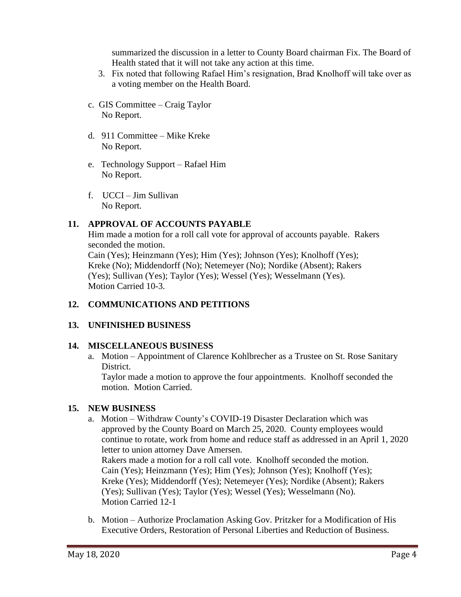summarized the discussion in a letter to County Board chairman Fix. The Board of Health stated that it will not take any action at this time.

- 3. Fix noted that following Rafael Him's resignation, Brad Knolhoff will take over as a voting member on the Health Board.
- c. GIS Committee Craig Taylor No Report.
- d. 911 Committee Mike Kreke No Report.
- e. Technology Support Rafael Him No Report.
- f. UCCI Jim Sullivan No Report.

## **11. APPROVAL OF ACCOUNTS PAYABLE**

Him made a motion for a roll call vote for approval of accounts payable. Rakers seconded the motion. Cain (Yes); Heinzmann (Yes); Him (Yes); Johnson (Yes); Knolhoff (Yes); Kreke (No); Middendorff (No); Netemeyer (No); Nordike (Absent); Rakers (Yes); Sullivan (Yes); Taylor (Yes); Wessel (Yes); Wesselmann (Yes). Motion Carried 10-3.

# **12. COMMUNICATIONS AND PETITIONS**

#### **13. UNFINISHED BUSINESS**

#### **14. MISCELLANEOUS BUSINESS**

a. Motion – Appointment of Clarence Kohlbrecher as a Trustee on St. Rose Sanitary District.

Taylor made a motion to approve the four appointments. Knolhoff seconded the motion. Motion Carried.

#### **15. NEW BUSINESS**

- a. Motion Withdraw County's COVID-19 Disaster Declaration which was approved by the County Board on March 25, 2020. County employees would continue to rotate, work from home and reduce staff as addressed in an April 1, 2020 letter to union attorney Dave Amersen. Rakers made a motion for a roll call vote. Knolhoff seconded the motion. Cain (Yes); Heinzmann (Yes); Him (Yes); Johnson (Yes); Knolhoff (Yes); Kreke (Yes); Middendorff (Yes); Netemeyer (Yes); Nordike (Absent); Rakers (Yes); Sullivan (Yes); Taylor (Yes); Wessel (Yes); Wesselmann (No). Motion Carried 12-1
- b. Motion Authorize Proclamation Asking Gov. Pritzker for a Modification of His Executive Orders, Restoration of Personal Liberties and Reduction of Business.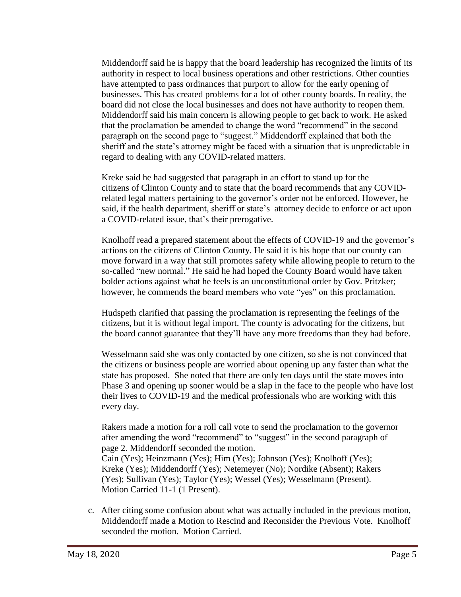Middendorff said he is happy that the board leadership has recognized the limits of its authority in respect to local business operations and other restrictions. Other counties have attempted to pass ordinances that purport to allow for the early opening of businesses. This has created problems for a lot of other county boards. In reality, the board did not close the local businesses and does not have authority to reopen them. Middendorff said his main concern is allowing people to get back to work. He asked that the proclamation be amended to change the word "recommend" in the second paragraph on the second page to "suggest." Middendorff explained that both the sheriff and the state's attorney might be faced with a situation that is unpredictable in regard to dealing with any COVID-related matters.

Kreke said he had suggested that paragraph in an effort to stand up for the citizens of Clinton County and to state that the board recommends that any COVID related legal matters pertaining to the governor's order not be enforced. However, he said, if the health department, sheriff or state's attorney decide to enforce or act upon a COVID-related issue, that's their prerogative.

Knolhoff read a prepared statement about the effects of COVID-19 and the governor's actions on the citizens of Clinton County. He said it is his hope that our county can move forward in a way that still promotes safety while allowing people to return to the so-called "new normal." He said he had hoped the County Board would have taken bolder actions against what he feels is an unconstitutional order by Gov. Pritzker; however, he commends the board members who vote "yes" on this proclamation.

Hudspeth clarified that passing the proclamation is representing the feelings of the citizens, but it is without legal import. The county is advocating for the citizens, but the board cannot guarantee that they'll have any more freedoms than they had before.

Wesselmann said she was only contacted by one citizen, so she is not convinced that the citizens or business people are worried about opening up any faster than what the state has proposed. She noted that there are only ten days until the state moves into Phase 3 and opening up sooner would be a slap in the face to the people who have lost their lives to COVID-19 and the medical professionals who are working with this every day.

Rakers made a motion for a roll call vote to send the proclamation to the governor after amending the word "recommend" to "suggest" in the second paragraph of page 2. Middendorff seconded the motion.

 Cain (Yes); Heinzmann (Yes); Him (Yes); Johnson (Yes); Knolhoff (Yes); Kreke (Yes); Middendorff (Yes); Netemeyer (No); Nordike (Absent); Rakers (Yes); Sullivan (Yes); Taylor (Yes); Wessel (Yes); Wesselmann (Present). Motion Carried 11-1 (1 Present).

 c. After citing some confusion about what was actually included in the previous motion, Middendorff made a Motion to Rescind and Reconsider the Previous Vote. Knolhoff seconded the motion. Motion Carried.